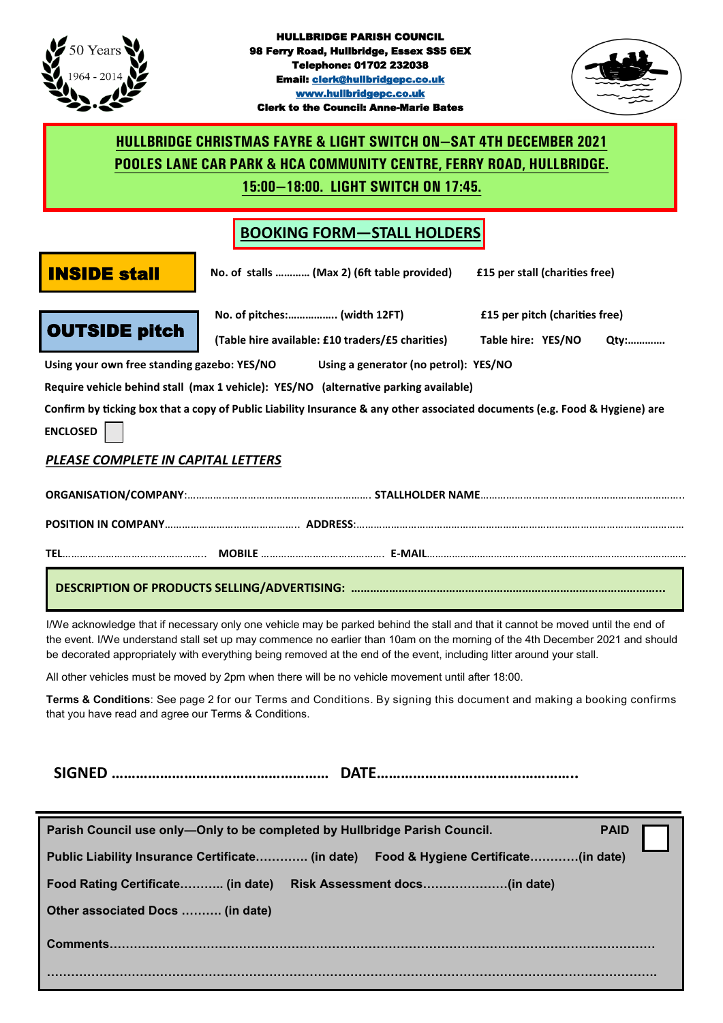



# **HULLBRIDGE CHRISTMAS FAYRE & LIGHT SWITCH ON—SAT 4TH DECEMBER 2021 POOLES LANE CAR PARK & HCA COMMUNITY CENTRE, FERRY ROAD, HULLBRIDGE.**

**15:00—18:00. LIGHT SWITCH ON 17:45.**

# **BOOKING FORM—STALL HOLDERS**

**INSIDE stall** No. of stalls ............ (Max 2) (6ft table provided) E15 per stall (charities free)



**No. of pitches:…………….. (width 12FT) £15 per pitch (charities free) (Table hire available: £10 traders/£5 charities) Table hire: YES/NO Qty:………….**

**Using your own free standing gazebo: YES/NO Using a generator (no petrol): YES/NO** 

**Require vehicle behind stall (max 1 vehicle): YES/NO (alternative parking available)** 

**Confirm by ticking box that a copy of Public Liability Insurance & any other associated documents (e.g. Food & Hygiene) are ENCLOSED** 

### *PLEASE COMPLETE IN CAPITAL LETTERS*

**ORGANISATION/COMPANY**:………………………………………………………. **STALLHOLDER NAME**……………………………………………………………..

**POSITION IN COMPANY**……………………………………….. **ADDRESS**:……………………………………………………………………………………………………

**TEL**………………………………………….. **MOBILE** ……………………………………. **E-MAIL**…………………………………………………………………………………

#### **DESCRIPTION OF PRODUCTS SELLING/ADVERTISING: ……………………………………………………………………………………...**

I/We acknowledge that if necessary only one vehicle may be parked behind the stall and that it cannot be moved until the end of the event. I/We understand stall set up may commence no earlier than 10am on the morning of the 4th December 2021 and should be decorated appropriately with everything being removed at the end of the event, including litter around your stall.

All other vehicles must be moved by 2pm when there will be no vehicle movement until after 18:00.

**Terms & Conditions**: See page 2 for our Terms and Conditions. By signing this document and making a booking confirms that you have read and agree our Terms & Conditions.

**SIGNED ……………………………………………… DATE…………………………………………..**

| Parish Council use only-Only to be completed by Hullbridge Parish Council.           | <b>PAID</b> |
|--------------------------------------------------------------------------------------|-------------|
| Public Liability Insurance Certificate (in date) Food & Hygiene Certificate(in date) |             |
| Food Rating Certificate (in date)                                                    |             |
| Other associated Docs  (in date)                                                     |             |
|                                                                                      |             |
|                                                                                      |             |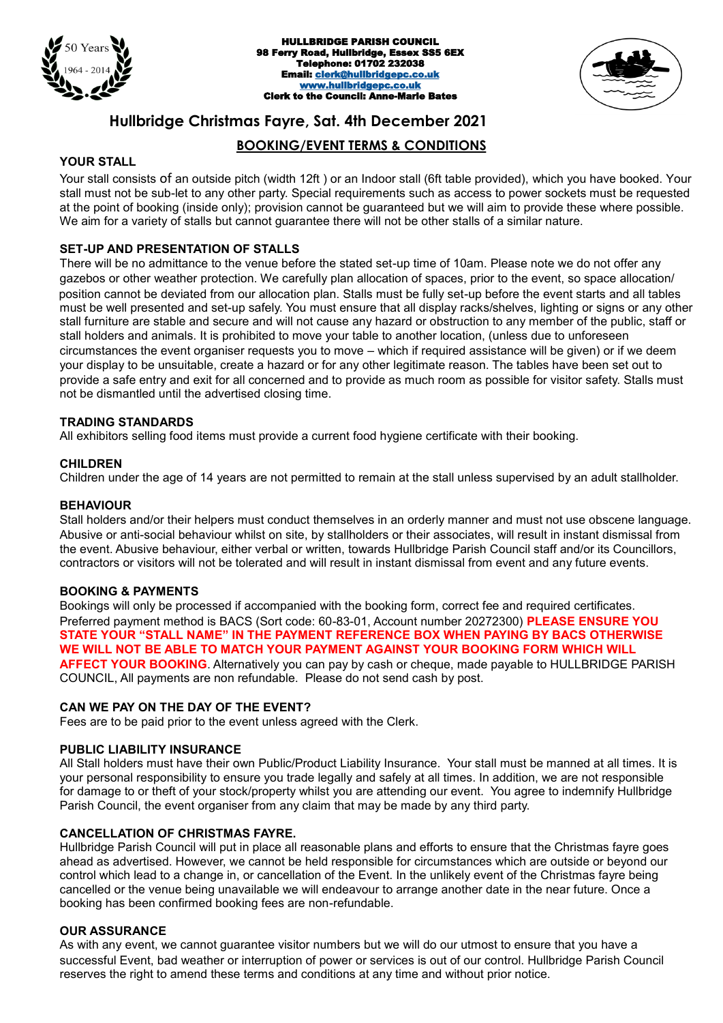



## **Hullbridge Christmas Fayre, Sat. 4th December 2021**

#### **BOOKING/EVENT TERMS & CONDITIONS**

#### **YOUR STALL**

 Your stall consists of an outside pitch (width 12ft ) or an Indoor stall (6ft table provided), which you have booked. Your stall must not be sub-let to any other party. Special requirements such as access to power sockets must be requested at the point of booking (inside only); provision cannot be guaranteed but we will aim to provide these where possible. We aim for a variety of stalls but cannot quarantee there will not be other stalls of a similar nature.

#### **SET-UP AND PRESENTATION OF STALLS**

There will be no admittance to the venue before the stated set-up time of 10am. Please note we do not offer any gazebos or other weather protection. We carefully plan allocation of spaces, prior to the event, so space allocation/ position cannot be deviated from our allocation plan. Stalls must be fully set-up before the event starts and all tables must be well presented and set-up safely. You must ensure that all display racks/shelves, lighting or signs or any other stall furniture are stable and secure and will not cause any hazard or obstruction to any member of the public, staff or stall holders and animals. It is prohibited to move your table to another location, (unless due to unforeseen circumstances the event organiser requests you to move – which if required assistance will be given) or if we deem your display to be unsuitable, create a hazard or for any other legitimate reason. The tables have been set out to provide a safe entry and exit for all concerned and to provide as much room as possible for visitor safety. Stalls must not be dismantled until the advertised closing time.

#### **TRADING STANDARDS**

All exhibitors selling food items must provide a current food hygiene certificate with their booking.

#### **CHILDREN**

Children under the age of 14 years are not permitted to remain at the stall unless supervised by an adult stallholder.

#### **BEHAVIOUR**

Stall holders and/or their helpers must conduct themselves in an orderly manner and must not use obscene language. Abusive or anti-social behaviour whilst on site, by stallholders or their associates, will result in instant dismissal from the event. Abusive behaviour, either verbal or written, towards Hullbridge Parish Council staff and/or its Councillors, contractors or visitors will not be tolerated and will result in instant dismissal from event and any future events.

#### **BOOKING & PAYMENTS**

Bookings will only be processed if accompanied with the booking form, correct fee and required certificates. Preferred payment method is BACS (Sort code: 60-83-01, Account number 20272300) **PLEASE ENSURE YOU STATE YOUR "STALL NAME" IN THE PAYMENT REFERENCE BOX WHEN PAYING BY BACS OTHERWISE WE WILL NOT BE ABLE TO MATCH YOUR PAYMENT AGAINST YOUR BOOKING FORM WHICH WILL AFFECT YOUR BOOKING**. Alternatively you can pay by cash or cheque, made payable to HULLBRIDGE PARISH COUNCIL, All payments are non refundable. Please do not send cash by post.

#### **CAN WE PAY ON THE DAY OF THE EVENT?**

Fees are to be paid prior to the event unless agreed with the Clerk.

#### **PUBLIC LIABILITY INSURANCE**

All Stall holders must have their own Public/Product Liability Insurance. Your stall must be manned at all times. It is your personal responsibility to ensure you trade legally and safely at all times. In addition, we are not responsible for damage to or theft of your stock/property whilst you are attending our event. You agree to indemnify Hullbridge Parish Council, the event organiser from any claim that may be made by any third party.

#### **CANCELLATION OF CHRISTMAS FAYRE.**

Hullbridge Parish Council will put in place all reasonable plans and efforts to ensure that the Christmas fayre goes ahead as advertised. However, we cannot be held responsible for circumstances which are outside or beyond our control which lead to a change in, or cancellation of the Event. In the unlikely event of the Christmas fayre being cancelled or the venue being unavailable we will endeavour to arrange another date in the near future. Once a booking has been confirmed booking fees are non-refundable.

#### **OUR ASSURANCE**

As with any event, we cannot guarantee visitor numbers but we will do our utmost to ensure that you have a successful Event, bad weather or interruption of power or services is out of our control. Hullbridge Parish Council reserves the right to amend these terms and conditions at any time and without prior notice.